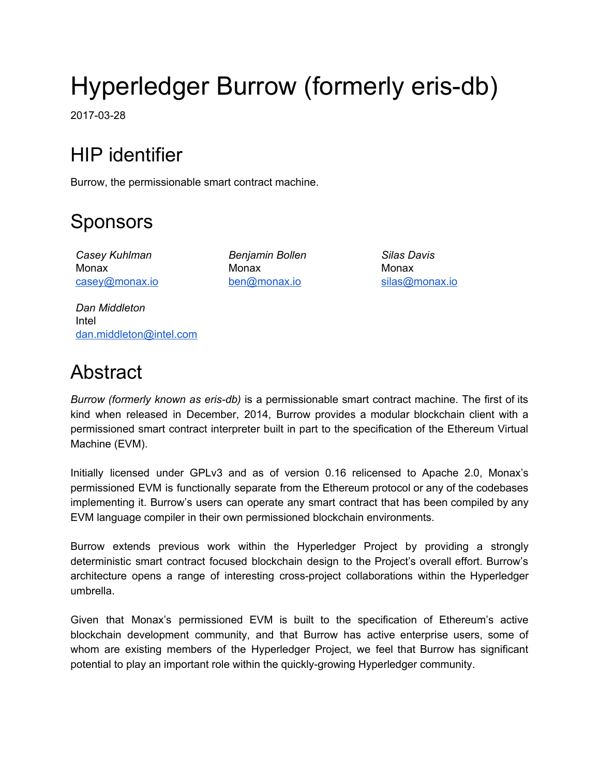# Hyperledger Burrow (formerly eris-db)

2017-03-28

## HIP identifier

Burrow, the permissionable smart contract machine.

## Sponsors

*Casey Kuhlman* Monax [casey@monax.io](mailto:casey@monax.io)

*Benjamin Bollen* Monax [ben@monax.io](mailto:ben@monax.io)

*Silas Davis* Monax [silas@monax.io](mailto:silas@monax.io)

*Dan Middleton* Intel [dan.middleton@intel.com](mailto:dan.middleton@intel.com)

### Abstract

*Burrow (formerly known as eris-db)* is a permissionable smart contract machine. The first of its kind when released in December, 2014, Burrow provides a modular blockchain client with a permissioned smart contract interpreter built in part to the specification of the Ethereum Virtual Machine (EVM).

Initially licensed under GPLv3 and as of version 0.16 relicensed to Apache 2.0, Monax's permissioned EVM is functionally separate from the Ethereum protocol or any of the codebases implementing it. Burrow's users can operate any smart contract that has been compiled by any EVM language compiler in their own permissioned blockchain environments.

Burrow extends previous work within the Hyperledger Project by providing a strongly deterministic smart contract focused blockchain design to the Project's overall effort. Burrow's architecture opens a range of interesting cross-project collaborations within the Hyperledger umbrella.

Given that Monax's permissioned EVM is built to the specification of Ethereum's active blockchain development community, and that Burrow has active enterprise users, some of whom are existing members of the Hyperledger Project, we feel that Burrow has significant potential to play an important role within the quickly-growing Hyperledger community.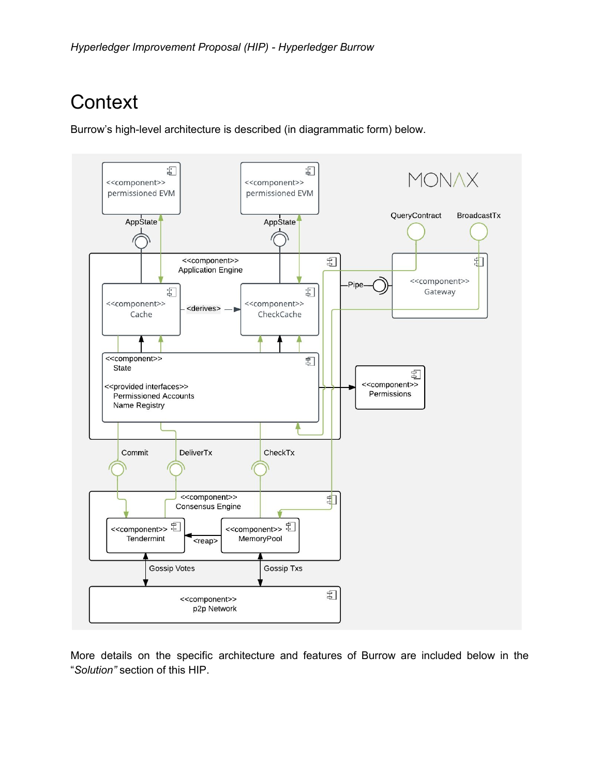## **Context**

Burrow's high-level architecture is described (in diagrammatic form) below.



More details on the specific architecture and features of Burrow are included below in the "*Solution"* section of this HIP.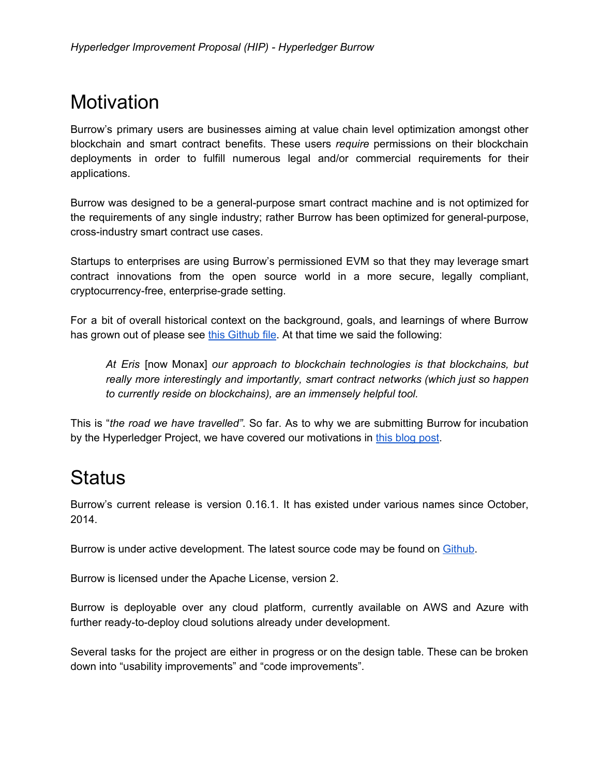### **Motivation**

Burrow's primary users are businesses aiming at value chain level optimization amongst other blockchain and smart contract benefits. These users *require* permissions on their blockchain deployments in order to fulfill numerous legal and/or commercial requirements for their applications.

Burrow was designed to be a general-purpose smart contract machine and is not optimized for the requirements of any single industry; rather Burrow has been optimized for general-purpose, cross-industry smart contract use cases.

Startups to enterprises are using Burrow's permissioned EVM so that they may leverage smart contract innovations from the open source world in a more secure, legally compliant, cryptocurrency-free, enterprise-grade setting.

For a bit of overall historical context on the background, goals, and learnings of where Burrow has grown out of please see this [Github](https://github.com/eris-ltd/eris/blob/release_0.12/docs/specs/motivation.md) file. At that time we said the following:

*At Eris* [now Monax] *our approach to blockchain technologies is that blockchains, but really more interestingly and importantly, smart contract networks (which just so happen to currently reside on blockchains), are an immensely helpful tool.*

This is "*the road we have travelled"*. So far. As to why we are submitting Burrow for incubation by the Hyperledger Project, we have covered our motivations in this [blog](https://monax.io/blog/2017/02/28/why-were-joining-hyperledger/) post.

### **Status**

Burrow's current release is version 0.16.1. It has existed under various names since October, 2014.

Burrow is under active development. The latest source code may be found on [Github](https://github.com/eris-ltd/eris-db).

Burrow is licensed under the Apache License, version 2.

Burrow is deployable over any cloud platform, currently available on AWS and Azure with further ready-to-deploy cloud solutions already under development.

Several tasks for the project are either in progress or on the design table. These can be broken down into "usability improvements" and "code improvements".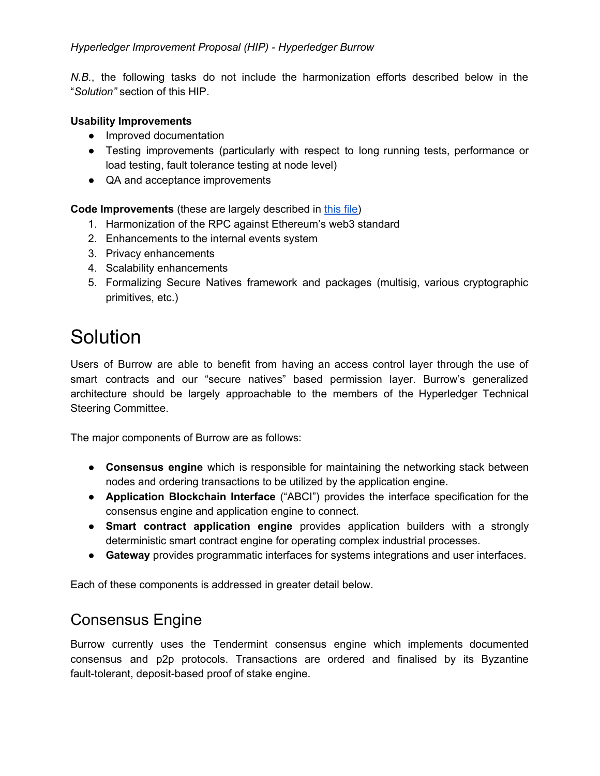#### *Hyperledger Improvement Proposal (HIP) - Hyperledger Burrow*

*N.B.*, the following tasks do not include the harmonization efforts described below in the "*Solution"* section of this HIP.

#### **Usability Improvements**

- Improved documentation
- Testing improvements (particularly with respect to long running tests, performance or load testing, fault tolerance testing at node level)
- QA and acceptance improvements

**Code Improvements** (these are largely described in [this](https://github.com/eris-ltd/eris-db/blob/master/docs/PROPOSALS.md) file)

- 1. Harmonization of the RPC against Ethereum's web3 standard
- 2. Enhancements to the internal events system
- 3. Privacy enhancements
- 4. Scalability enhancements
- 5. Formalizing Secure Natives framework and packages (multisig, various cryptographic primitives, etc.)

### **Solution**

Users of Burrow are able to benefit from having an access control layer through the use of smart contracts and our "secure natives" based permission layer. Burrow's generalized architecture should be largely approachable to the members of the Hyperledger Technical Steering Committee.

The major components of Burrow are as follows:

- **Consensus engine** which is responsible for maintaining the networking stack between nodes and ordering transactions to be utilized by the application engine.
- **● Application Blockchain Interface** ("ABCI") provides the interface specification for the consensus engine and application engine to connect.
- **● Smart contract application engine** provides application builders with a strongly deterministic smart contract engine for operating complex industrial processes.
- **● Gateway** provides programmatic interfaces for systems integrations and user interfaces.

Each of these components is addressed in greater detail below.

#### Consensus Engine

Burrow currently uses the Tendermint consensus engine which implements documented consensus and p2p protocols. Transactions are ordered and finalised by its Byzantine fault-tolerant, deposit-based proof of stake engine.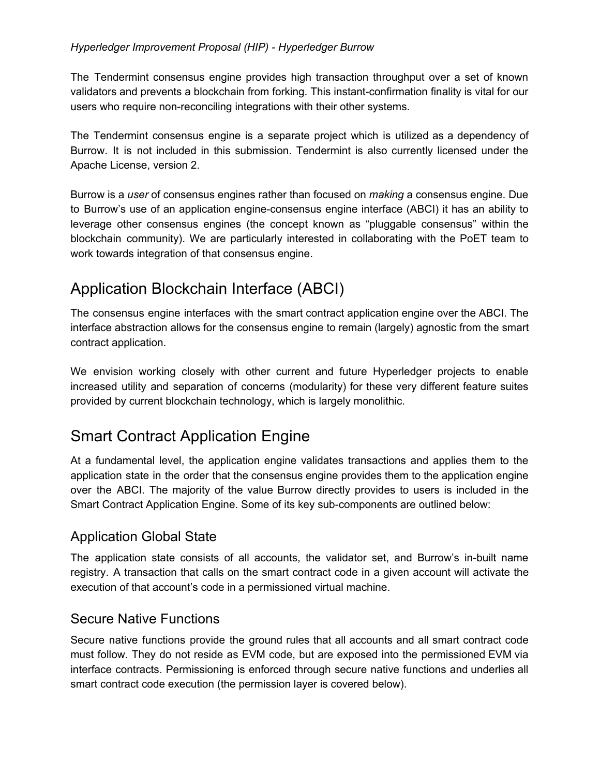The Tendermint consensus engine provides high transaction throughput over a set of known validators and prevents a blockchain from forking. This instant-confirmation finality is vital for our users who require non-reconciling integrations with their other systems.

The Tendermint consensus engine is a separate project which is utilized as a dependency of Burrow. It is not included in this submission. Tendermint is also currently licensed under the Apache License, version 2.

Burrow is a *user* of consensus engines rather than focused on *making* a consensus engine. Due to Burrow's use of an application engine-consensus engine interface (ABCI) it has an ability to leverage other consensus engines (the concept known as "pluggable consensus" within the blockchain community). We are particularly interested in collaborating with the PoET team to work towards integration of that consensus engine.

### Application Blockchain Interface (ABCI)

The consensus engine interfaces with the smart contract application engine over the ABCI. The interface abstraction allows for the consensus engine to remain (largely) agnostic from the smart contract application.

We envision working closely with other current and future Hyperledger projects to enable increased utility and separation of concerns (modularity) for these very different feature suites provided by current blockchain technology, which is largely monolithic.

### Smart Contract Application Engine

At a fundamental level, the application engine validates transactions and applies them to the application state in the order that the consensus engine provides them to the application engine over the ABCI. The majority of the value Burrow directly provides to users is included in the Smart Contract Application Engine. Some of its key sub-components are outlined below:

#### Application Global State

The application state consists of all accounts, the validator set, and Burrow's in-built name registry. A transaction that calls on the smart contract code in a given account will activate the execution of that account's code in a permissioned virtual machine.

#### Secure Native Functions

Secure native functions provide the ground rules that all accounts and all smart contract code must follow. They do not reside as EVM code, but are exposed into the permissioned EVM via interface contracts. Permissioning is enforced through secure native functions and underlies all smart contract code execution (the permission layer is covered below).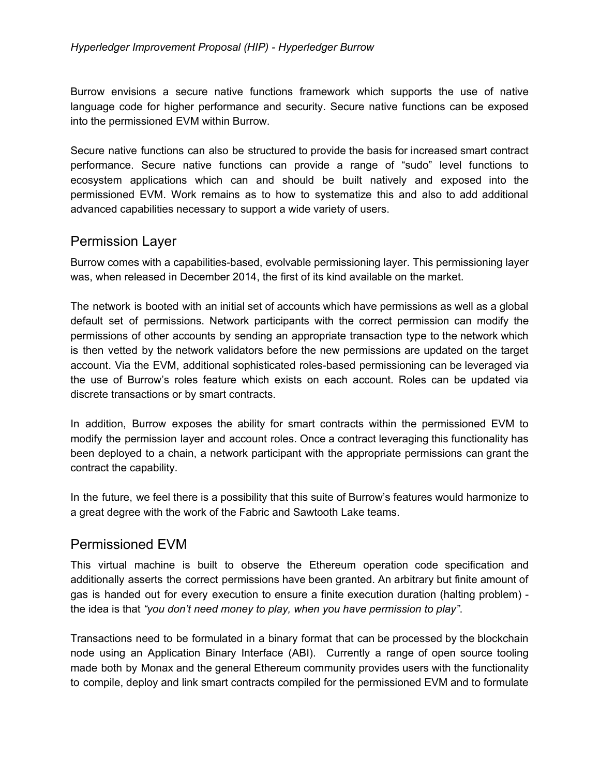Burrow envisions a secure native functions framework which supports the use of native language code for higher performance and security. Secure native functions can be exposed into the permissioned EVM within Burrow.

Secure native functions can also be structured to provide the basis for increased smart contract performance. Secure native functions can provide a range of "sudo" level functions to ecosystem applications which can and should be built natively and exposed into the permissioned EVM. Work remains as to how to systematize this and also to add additional advanced capabilities necessary to support a wide variety of users.

#### Permission Layer

Burrow comes with a capabilities-based, evolvable permissioning layer. This permissioning layer was, when released in December 2014, the first of its kind available on the market.

The network is booted with an initial set of accounts which have permissions as well as a global default set of permissions. Network participants with the correct permission can modify the permissions of other accounts by sending an appropriate transaction type to the network which is then vetted by the network validators before the new permissions are updated on the target account. Via the EVM, additional sophisticated roles-based permissioning can be leveraged via the use of Burrow's roles feature which exists on each account. Roles can be updated via discrete transactions or by smart contracts.

In addition, Burrow exposes the ability for smart contracts within the permissioned EVM to modify the permission layer and account roles. Once a contract leveraging this functionality has been deployed to a chain, a network participant with the appropriate permissions can grant the contract the capability.

In the future, we feel there is a possibility that this suite of Burrow's features would harmonize to a great degree with the work of the Fabric and Sawtooth Lake teams.

#### Permissioned EVM

This virtual machine is built to observe the Ethereum operation code specification and additionally asserts the correct permissions have been granted. An arbitrary but finite amount of gas is handed out for every execution to ensure a finite execution duration (halting problem) the idea is that *"you don't need money to play, when you have permission to play"*.

Transactions need to be formulated in a binary format that can be processed by the blockchain node using an Application Binary Interface (ABI). Currently a range of open source tooling made both by Monax and the general Ethereum community provides users with the functionality to compile, deploy and link smart contracts compiled for the permissioned EVM and to formulate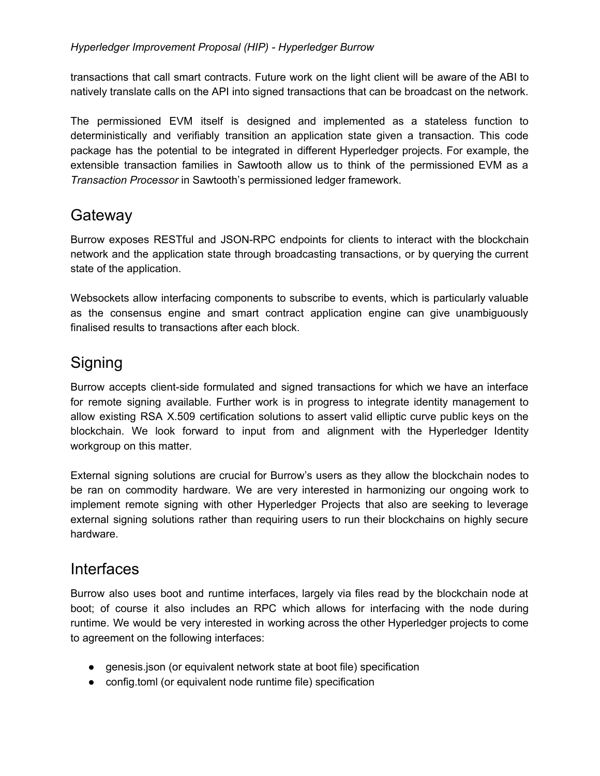transactions that call smart contracts. Future work on the light client will be aware of the ABI to natively translate calls on the API into signed transactions that can be broadcast on the network.

The permissioned EVM itself is designed and implemented as a stateless function to deterministically and verifiably transition an application state given a transaction. This code package has the potential to be integrated in different Hyperledger projects. For example, the extensible transaction families in Sawtooth allow us to think of the permissioned EVM as a *Transaction Processor* in Sawtooth's permissioned ledger framework.

### **Gateway**

Burrow exposes RESTful and JSON-RPC endpoints for clients to interact with the blockchain network and the application state through broadcasting transactions, or by querying the current state of the application.

Websockets allow interfacing components to subscribe to events, which is particularly valuable as the consensus engine and smart contract application engine can give unambiguously finalised results to transactions after each block.

### **Signing**

Burrow accepts client-side formulated and signed transactions for which we have an interface for remote signing available. Further work is in progress to integrate identity management to allow existing RSA X.509 certification solutions to assert valid elliptic curve public keys on the blockchain. We look forward to input from and alignment with the Hyperledger Identity workgroup on this matter.

External signing solutions are crucial for Burrow's users as they allow the blockchain nodes to be ran on commodity hardware. We are very interested in harmonizing our ongoing work to implement remote signing with other Hyperledger Projects that also are seeking to leverage external signing solutions rather than requiring users to run their blockchains on highly secure hardware.

### **Interfaces**

Burrow also uses boot and runtime interfaces, largely via files read by the blockchain node at boot; of course it also includes an RPC which allows for interfacing with the node during runtime. We would be very interested in working across the other Hyperledger projects to come to agreement on the following interfaces:

- genesis.json (or equivalent network state at boot file) specification
- config.toml (or equivalent node runtime file) specification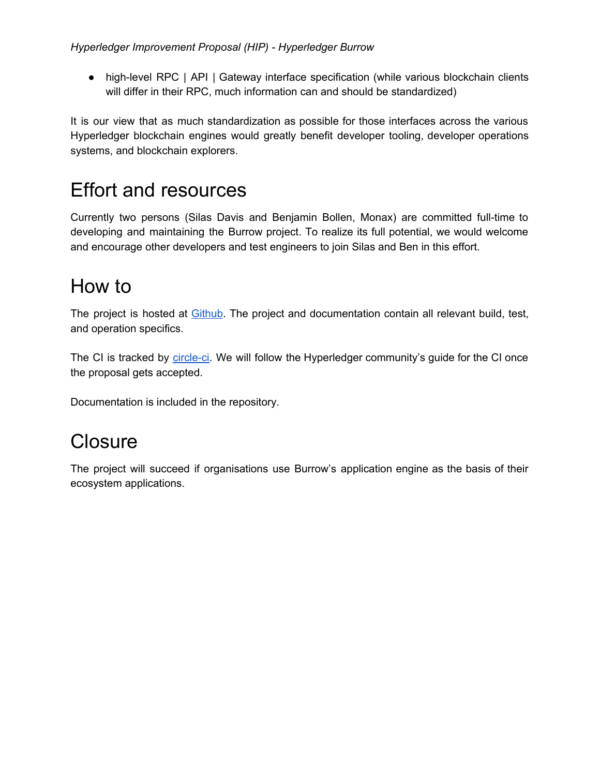● high-level RPC | API | Gateway interface specification (while various blockchain clients will differ in their RPC, much information can and should be standardized)

It is our view that as much standardization as possible for those interfaces across the various Hyperledger blockchain engines would greatly benefit developer tooling, developer operations systems, and blockchain explorers.

## Effort and resources

Currently two persons (Silas Davis and Benjamin Bollen, Monax) are committed full-time to developing and maintaining the Burrow project. To realize its full potential, we would welcome and encourage other developers and test engineers to join Silas and Ben in this effort.

## How to

The project is hosted at **Github**. The project and documentation contain all relevant build, test, and operation specifics.

The CI is tracked by [circle-ci.](https://circleci.com/gh/eris-ltd/eris-db) We will follow the Hyperledger community's guide for the CI once the proposal gets accepted.

Documentation is included in the repository.

### **Closure**

The project will succeed if organisations use Burrow's application engine as the basis of their ecosystem applications.